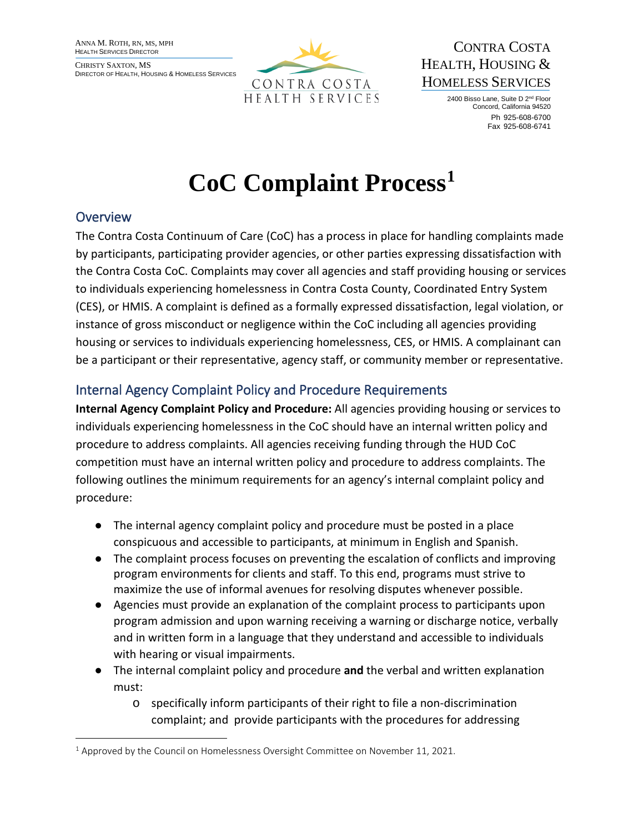ANNA M. ROTH, RN, MS, MPH HEALTH SERVICES DIRECTOR

CHRISTY SAXTON, MS DIRECTOR OF HEALTH, HOUSING & HOMELESS SERVICES



CONTRA COSTA HEALTH, HOUSING & HOMELESS SERVICES

> 2400 Bisso Lane, Suite D 2nd Floor Concord, California 94520 Ph 925-608-6700 Fax 925-608-6741

# **CoC Complaint Process[1](#page-0-0)**

### **Overview**

The Contra Costa Continuum of Care (CoC) has a process in place for handling complaints made by participants, participating provider agencies, or other parties expressing dissatisfaction with the Contra Costa CoC. Complaints may cover all agencies and staff providing housing or services to individuals experiencing homelessness in Contra Costa County, Coordinated Entry System (CES), or HMIS. A complaint is defined as a formally expressed dissatisfaction, legal violation, or instance of gross misconduct or negligence within the CoC including all agencies providing housing or services to individuals experiencing homelessness, CES, or HMIS. A complainant can be a participant or their representative, agency staff, or community member or representative.

## Internal Agency Complaint Policy and Procedure Requirements

**Internal Agency Complaint Policy and Procedure:** All agencies providing housing or services to individuals experiencing homelessness in the CoC should have an internal written policy and procedure to address complaints. All agencies receiving funding through the HUD CoC competition must have an internal written policy and procedure to address complaints. The following outlines the minimum requirements for an agency's internal complaint policy and procedure:

- The internal agency complaint policy and procedure must be posted in a place conspicuous and accessible to participants, at minimum in English and Spanish.
- The complaint process focuses on preventing the escalation of conflicts and improving program environments for clients and staff. To this end, programs must strive to maximize the use of informal avenues for resolving disputes whenever possible.
- Agencies must provide an explanation of the complaint process to participants upon program admission and upon warning receiving a warning or discharge notice, verbally and in written form in a language that they understand and accessible to individuals with hearing or visual impairments.
- The internal complaint policy and procedure **and** the verbal and written explanation must:
	- o specifically inform participants of their right to file a non-discrimination complaint; and provide participants with the procedures for addressing

<span id="page-0-0"></span> $1$  Approved by the Council on Homelessness Oversight Committee on November 11, 2021.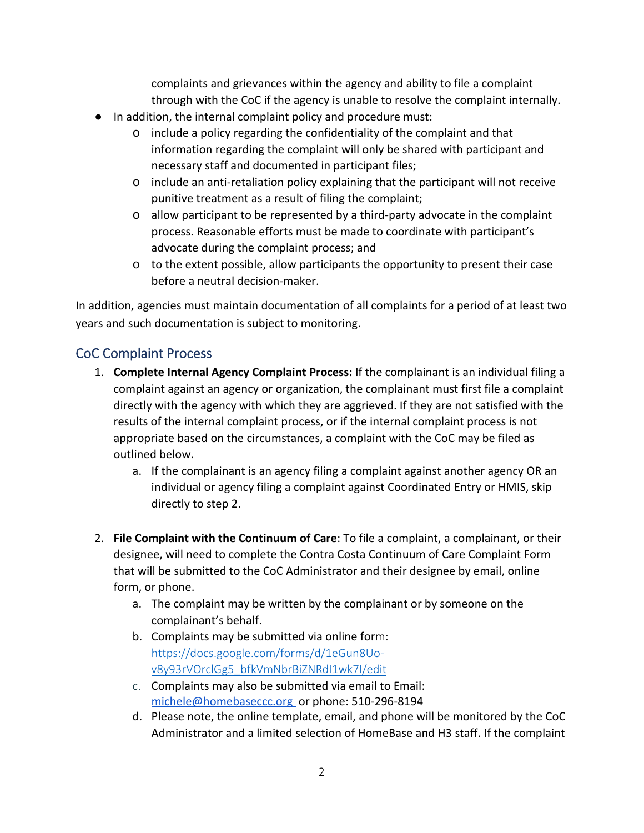complaints and grievances within the agency and ability to file a complaint through with the CoC if the agency is unable to resolve the complaint internally.

- In addition, the internal complaint policy and procedure must:
	- o include a policy regarding the confidentiality of the complaint and that information regarding the complaint will only be shared with participant and necessary staff and documented in participant files;
	- $\circ$  include an anti-retaliation policy explaining that the participant will not receive punitive treatment as a result of filing the complaint;
	- $\circ$  allow participant to be represented by a third-party advocate in the complaint process. Reasonable efforts must be made to coordinate with participant's advocate during the complaint process; and
	- $\circ$  to the extent possible, allow participants the opportunity to present their case before a neutral decision-maker.

In addition, agencies must maintain documentation of all complaints for a period of at least two years and such documentation is subject to monitoring.

#### CoC Complaint Process

- 1. **Complete Internal Agency Complaint Process:** If the complainant is an individual filing a complaint against an agency or organization, the complainant must first file a complaint directly with the agency with which they are aggrieved. If they are not satisfied with the results of the internal complaint process, or if the internal complaint process is not appropriate based on the circumstances, a complaint with the CoC may be filed as outlined below.
	- a. If the complainant is an agency filing a complaint against another agency OR an individual or agency filing a complaint against Coordinated Entry or HMIS, skip directly to step 2.
- 2. **File Complaint with the Continuum of Care**: To file a complaint, a complainant, or their designee, will need to complete the Contra Costa Continuum of Care Complaint Form that will be submitted to the CoC Administrator and their designee by email, online form, or phone.
	- a. The complaint may be written by the complainant or by someone on the complainant's behalf.
	- b. Complaints may be submitted via online form: [https://docs.google.com/forms/d/1eGun8Uo](https://docs.google.com/forms/d/1eGun8Uo-v8y93rVOrclGg5_bfkVmNbrBiZNRdI1wk7I/edit)[v8y93rVOrclGg5\\_bfkVmNbrBiZNRdI1wk7I/edit](https://docs.google.com/forms/d/1eGun8Uo-v8y93rVOrclGg5_bfkVmNbrBiZNRdI1wk7I/edit)
	- c. Complaints may also be submitted via email to Email: michele@homebaseccc.org or phone: 510-296-8194
	- d. Please note, the online template, email, and phone will be monitored by the CoC Administrator and a limited selection of HomeBase and H3 staff. If the complaint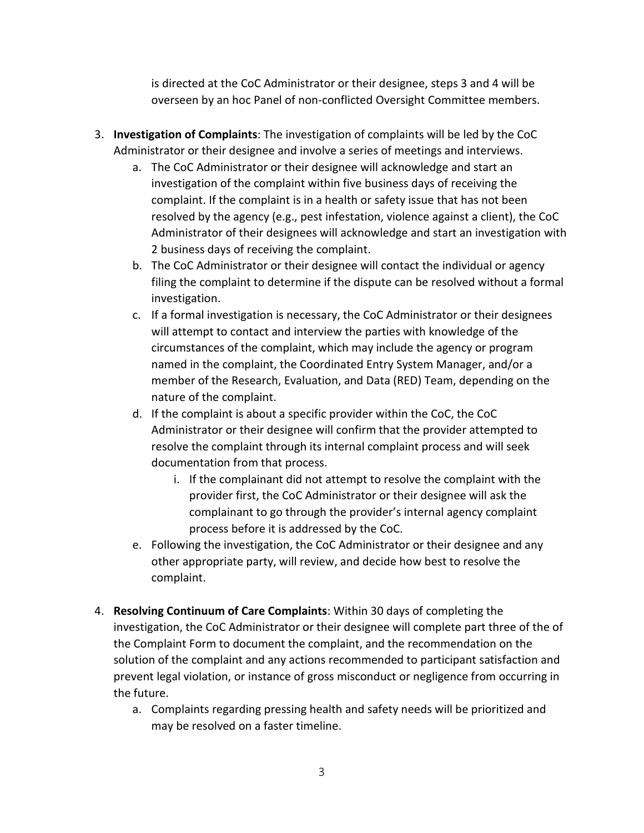is directed at the CoC Administrator or their designee, steps 3 and 4 will be overseen by an hoc Panel of non-conflicted Oversight Committee members.

- 3. **Investigation of Complaints**: The investigation of complaints will be led by the CoC Administrator or their designee and involve a series of meetings and interviews.
	- a. The CoC Administrator or their designee will acknowledge and start an investigation of the complaint within five business days of receiving the complaint. If the complaint is in a health or safety issue that has not been resolved by the agency (e.g., pest infestation, violence against a client), the CoC Administrator of their designees will acknowledge and start an investigation with 2 business days of receiving the complaint.
	- b. The CoC Administrator or their designee will contact the individual or agency filing the complaint to determine if the dispute can be resolved without a formal investigation.
	- c. If a formal investigation is necessary, the CoC Administrator or their designees will attempt to contact and interview the parties with knowledge of the circumstances of the complaint, which may include the agency or program named in the complaint, the Coordinated Entry System Manager, and/or a member of the Research, Evaluation, and Data (RED) Team, depending on the nature of the complaint.
	- d. If the complaint is about a specific provider within the CoC, the CoC Administrator or their designee will confirm that the provider attempted to resolve the complaint through its internal complaint process and will seek documentation from that process.
		- i. If the complainant did not attempt to resolve the complaint with the provider first, the CoC Administrator or their designee will ask the complainant to go through the provider's internal agency complaint process before it is addressed by the CoC.
	- e. Following the investigation, the CoC Administrator or their designee and any other appropriate party, will review, and decide how best to resolve the complaint.
- 4. **Resolving Continuum of Care Complaints**: Within 30 days of completing the investigation, the CoC Administrator or their designee will complete part three of the of the Complaint Form to document the complaint, and the recommendation on the solution of the complaint and any actions recommended to participant satisfaction and prevent legal violation, or instance of gross misconduct or negligence from occurring in the future.
	- a. Complaints regarding pressing health and safety needs will be prioritized and may be resolved on a faster timeline.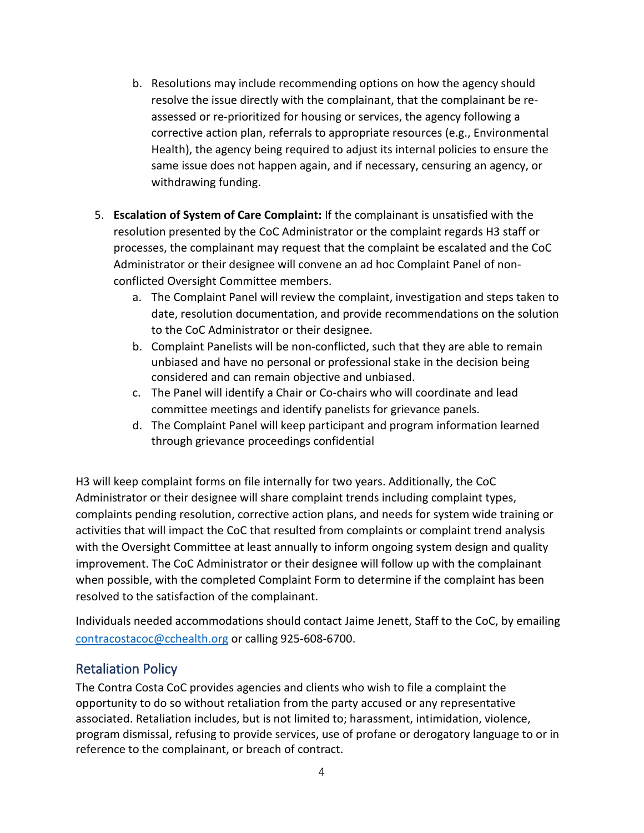- b. Resolutions may include recommending options on how the agency should resolve the issue directly with the complainant, that the complainant be reassessed or re-prioritized for housing or services, the agency following a corrective action plan, referrals to appropriate resources (e.g., Environmental Health), the agency being required to adjust its internal policies to ensure the same issue does not happen again, and if necessary, censuring an agency, or withdrawing funding.
- 5. **Escalation of System of Care Complaint:** If the complainant is unsatisfied with the resolution presented by the CoC Administrator or the complaint regards H3 staff or processes, the complainant may request that the complaint be escalated and the CoC Administrator or their designee will convene an ad hoc Complaint Panel of nonconflicted Oversight Committee members.
	- a. The Complaint Panel will review the complaint, investigation and steps taken to date, resolution documentation, and provide recommendations on the solution to the CoC Administrator or their designee.
	- b. Complaint Panelists will be non-conflicted, such that they are able to remain unbiased and have no personal or professional stake in the decision being considered and can remain objective and unbiased.
	- c. The Panel will identify a Chair or Co-chairs who will coordinate and lead committee meetings and identify panelists for grievance panels.
	- d. The Complaint Panel will keep participant and program information learned through grievance proceedings confidential

H3 will keep complaint forms on file internally for two years. Additionally, the CoC Administrator or their designee will share complaint trends including complaint types, complaints pending resolution, corrective action plans, and needs for system wide training or activities that will impact the CoC that resulted from complaints or complaint trend analysis with the Oversight Committee at least annually to inform ongoing system design and quality improvement. The CoC Administrator or their designee will follow up with the complainant when possible, with the completed Complaint Form to determine if the complaint has been resolved to the satisfaction of the complainant.

Individuals needed accommodations should contact Jaime Jenett, Staff to the CoC, by emailing [contracostacoc@cchealth.org](mailto:contracostacoc@cchealth.org) or calling 925-608-6700.

#### Retaliation Policy

The Contra Costa CoC provides agencies and clients who wish to file a complaint the opportunity to do so without retaliation from the party accused or any representative associated. Retaliation includes, but is not limited to; harassment, intimidation, violence, program dismissal, refusing to provide services, use of profane or derogatory language to or in reference to the complainant, or breach of contract.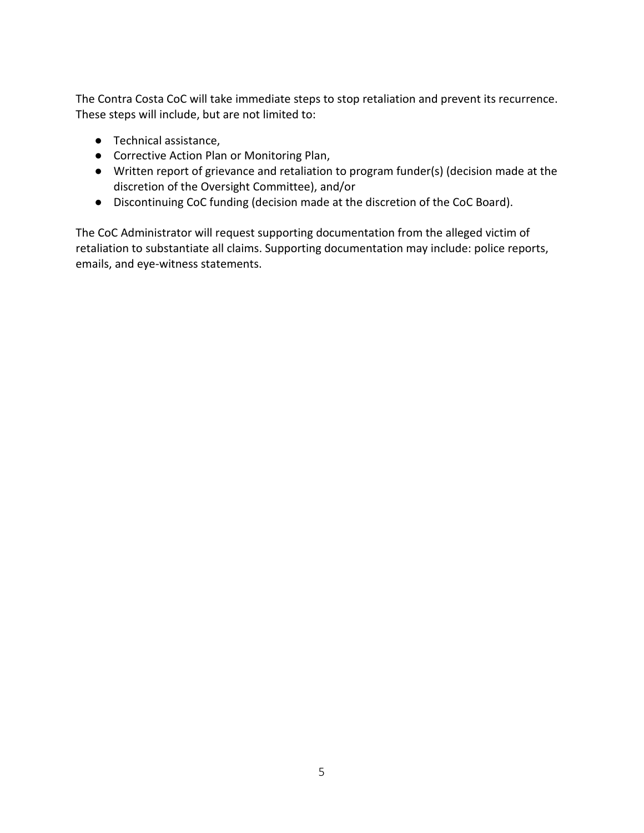The Contra Costa CoC will take immediate steps to stop retaliation and prevent its recurrence. These steps will include, but are not limited to:

- Technical assistance,
- Corrective Action Plan or Monitoring Plan,
- Written report of grievance and retaliation to program funder(s) (decision made at the discretion of the Oversight Committee), and/or
- Discontinuing CoC funding (decision made at the discretion of the CoC Board).

The CoC Administrator will request supporting documentation from the alleged victim of retaliation to substantiate all claims. Supporting documentation may include: police reports, emails, and eye-witness statements.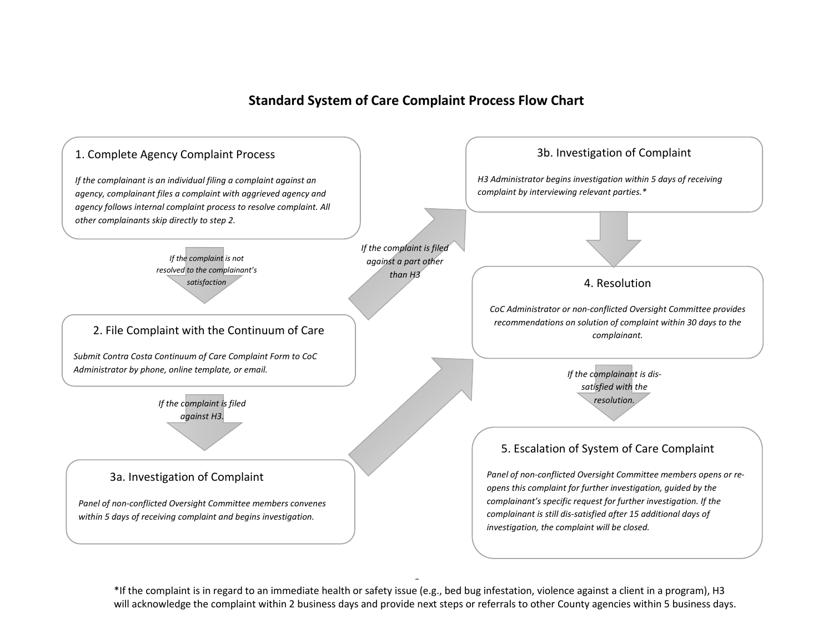#### **Standard System of Care Complaint Process Flow Chart**



6 \*If the complaint is in regard to an immediate health or safety issue (e.g., bed bug infestation, violence against a client in a program), H3 will acknowledge the complaint within 2 business days and provide next steps or referrals to other County agencies within 5 business days.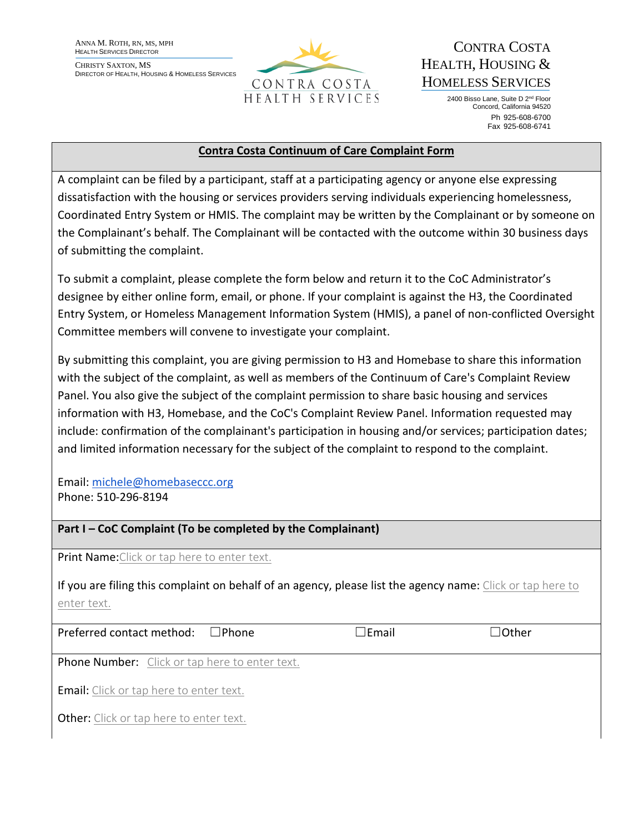ANNA M. ROTH, RN, MS, MPH HEALTH SERVICES DIRECTOR

CHRISTY SAXTON, MS DIRECTOR OF HEALTH, HOUSING & HOMELESS SERVICES



# CONTRA COSTA HEALTH, HOUSING & HOMELESS SERVICES

2400 Bisso Lane, Suite D 2nd Floor Concord, California 94520 Ph 925-608-6700 Fax 925-608-6741

#### **Contra Costa Continuum of Care Complaint Form**

A complaint can be filed by a participant, staff at a participating agency or anyone else expressing dissatisfaction with the housing or services providers serving individuals experiencing homelessness, Coordinated Entry System or HMIS. The complaint may be written by the Complainant or by someone on the Complainant's behalf. The Complainant will be contacted with the outcome within 30 business days of submitting the complaint.

To submit a complaint, please complete the form below and return it to the CoC Administrator's designee by either online form, email, or phone. If your complaint is against the H3, the Coordinated Entry System, or Homeless Management Information System (HMIS), a panel of non-conflicted Oversight Committee members will convene to investigate your complaint.

By submitting this complaint, you are giving permission to H3 and Homebase to share this information with the subject of the complaint, as well as members of the Continuum of Care's Complaint Review Panel. You also give the subject of the complaint permission to share basic housing and services information with H3, Homebase, and the CoC's Complaint Review Panel. Information requested may include: confirmation of the complainant's participation in housing and/or services; participation dates; and limited information necessary for the subject of the complaint to respond to the complaint.

Email: michele@homebaseccc.org Phone: 510-296-8194

**Part I – CoC Complaint (To be completed by the Complainant)** 

**Print Name:**Click or tap here to enter text.

If you are filing this complaint on behalf of an agency, please list the agency name: Click or tap here to enter text.

| Preferred contact method:<br>l lPhone                 | $\Box$ Email | $\Box$ Other |
|-------------------------------------------------------|--------------|--------------|
| <b>Phone Number:</b> Click or tap here to enter text. |              |              |
| <b>Email:</b> Click or tap here to enter text.        |              |              |
| <b>Other:</b> Click or tap here to enter text.        |              |              |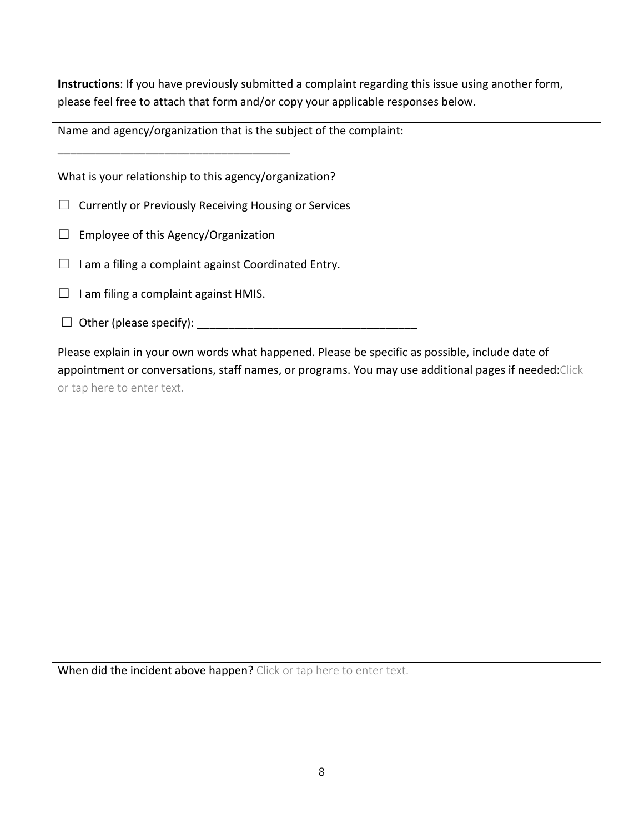**Instructions**: If you have previously submitted a complaint regarding this issue using another form, please feel free to attach that form and/or copy your applicable responses below.

Name and agency/organization that is the subject of the complaint:

What is your relationship to this agency/organization?

- ☐ Currently or Previously Receiving Housing or Services
- $\Box$  Employee of this Agency/Organization

\_\_\_\_\_\_\_\_\_\_\_\_\_\_\_\_\_\_\_\_\_\_\_\_\_\_\_\_\_\_\_\_\_\_\_\_\_

- $\Box$  I am a filing a complaint against Coordinated Entry.
- $\Box$  I am filing a complaint against HMIS.
- ☐ Other (please specify): \_\_\_\_\_\_\_\_\_\_\_\_\_\_\_\_\_\_\_\_\_\_\_\_\_\_\_\_\_\_\_\_\_\_\_

Please explain in your own words what happened. Please be specific as possible, include date of appointment or conversations, staff names, or programs. You may use additional pages if needed:Click or tap here to enter text.

When did the incident above happen? Click or tap here to enter text.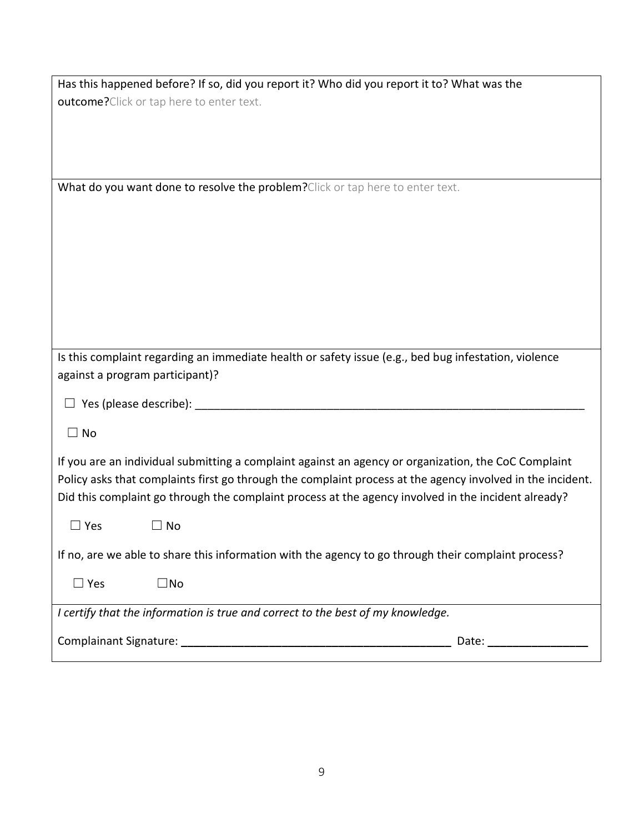| Has this happened before? If so, did you report it? Who did you report it to? What was the           |  |  |
|------------------------------------------------------------------------------------------------------|--|--|
| outcome? Click or tap here to enter text.                                                            |  |  |
|                                                                                                      |  |  |
|                                                                                                      |  |  |
|                                                                                                      |  |  |
|                                                                                                      |  |  |
| What do you want done to resolve the problem? Click or tap here to enter text.                       |  |  |
|                                                                                                      |  |  |
|                                                                                                      |  |  |
|                                                                                                      |  |  |
|                                                                                                      |  |  |
|                                                                                                      |  |  |
|                                                                                                      |  |  |
|                                                                                                      |  |  |
|                                                                                                      |  |  |
| Is this complaint regarding an immediate health or safety issue (e.g., bed bug infestation, violence |  |  |
| against a program participant)?                                                                      |  |  |
|                                                                                                      |  |  |
| Yes (please describe): ___                                                                           |  |  |
| $\Box$ No                                                                                            |  |  |
|                                                                                                      |  |  |

If you are an individual submitting a complaint against an agency or organization, the CoC Complaint Policy asks that complaints first go through the complaint process at the agency involved in the incident. Did this complaint go through the complaint process at the agency involved in the incident already?

☐ Yes ☐ No

If no, are we able to share this information with the agency to go through their complaint process?

*I certify that the information is true and correct to the best of my knowledge.* 

Complainant Signature: **\_\_\_\_\_\_\_\_\_\_\_\_\_\_\_\_\_\_\_\_\_\_\_\_\_\_\_\_\_\_\_\_\_\_\_\_\_\_\_\_\_\_\_** Date: **\_\_\_\_\_\_\_\_\_\_\_\_\_\_\_\_**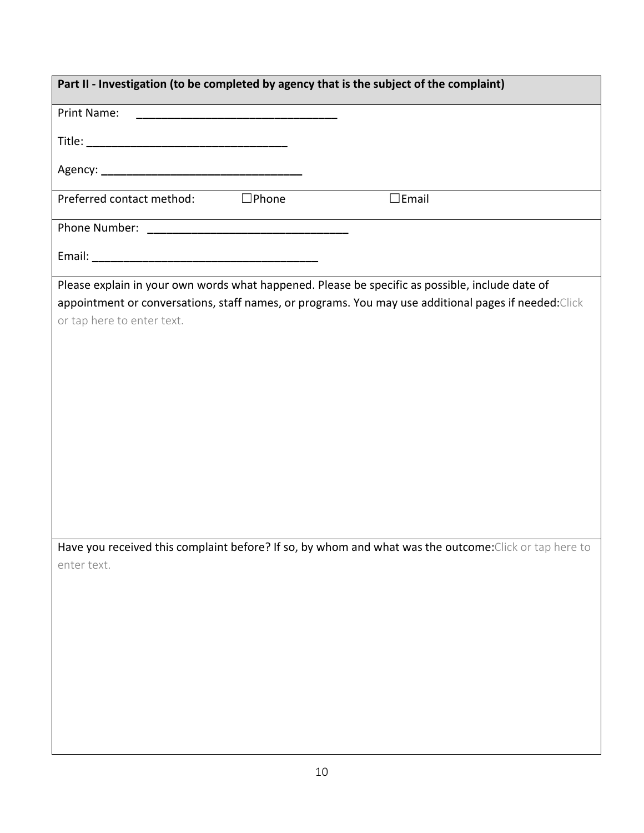| Part II - Investigation (to be completed by agency that is the subject of the complaint)               |  |  |  |  |
|--------------------------------------------------------------------------------------------------------|--|--|--|--|
| Print Name:                                                                                            |  |  |  |  |
|                                                                                                        |  |  |  |  |
|                                                                                                        |  |  |  |  |
|                                                                                                        |  |  |  |  |
| Preferred contact method: □Phone<br>$\square$ Email                                                    |  |  |  |  |
|                                                                                                        |  |  |  |  |
|                                                                                                        |  |  |  |  |
| Please explain in your own words what happened. Please be specific as possible, include date of        |  |  |  |  |
| appointment or conversations, staff names, or programs. You may use additional pages if needed: Click  |  |  |  |  |
| or tap here to enter text.                                                                             |  |  |  |  |
|                                                                                                        |  |  |  |  |
|                                                                                                        |  |  |  |  |
|                                                                                                        |  |  |  |  |
|                                                                                                        |  |  |  |  |
|                                                                                                        |  |  |  |  |
|                                                                                                        |  |  |  |  |
|                                                                                                        |  |  |  |  |
|                                                                                                        |  |  |  |  |
|                                                                                                        |  |  |  |  |
|                                                                                                        |  |  |  |  |
| Have you received this complaint before? If so, by whom and what was the outcome: Click or tap here to |  |  |  |  |
| enter text.                                                                                            |  |  |  |  |
|                                                                                                        |  |  |  |  |
|                                                                                                        |  |  |  |  |
|                                                                                                        |  |  |  |  |
|                                                                                                        |  |  |  |  |
|                                                                                                        |  |  |  |  |
|                                                                                                        |  |  |  |  |
|                                                                                                        |  |  |  |  |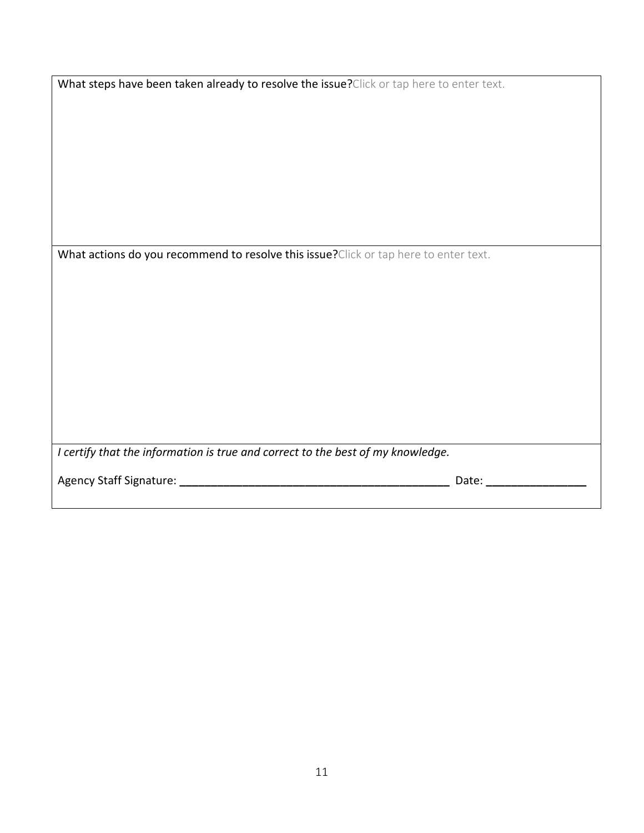| What steps have been taken already to resolve the issue? Click or tap here to enter text. |
|-------------------------------------------------------------------------------------------|
|-------------------------------------------------------------------------------------------|

What actions do you recommend to resolve this issue?Click or tap here to enter text.

| $\mid$ I certify that the information is true and correct to the best of my knowledge. |
|----------------------------------------------------------------------------------------|

Agency Staff Signature: **\_\_\_\_\_\_\_\_\_\_\_\_\_\_\_\_\_\_\_\_\_\_\_\_\_\_\_\_\_\_\_\_\_\_\_\_\_\_\_\_\_\_\_** Date: **\_\_\_\_\_\_\_\_\_\_\_\_\_\_\_\_**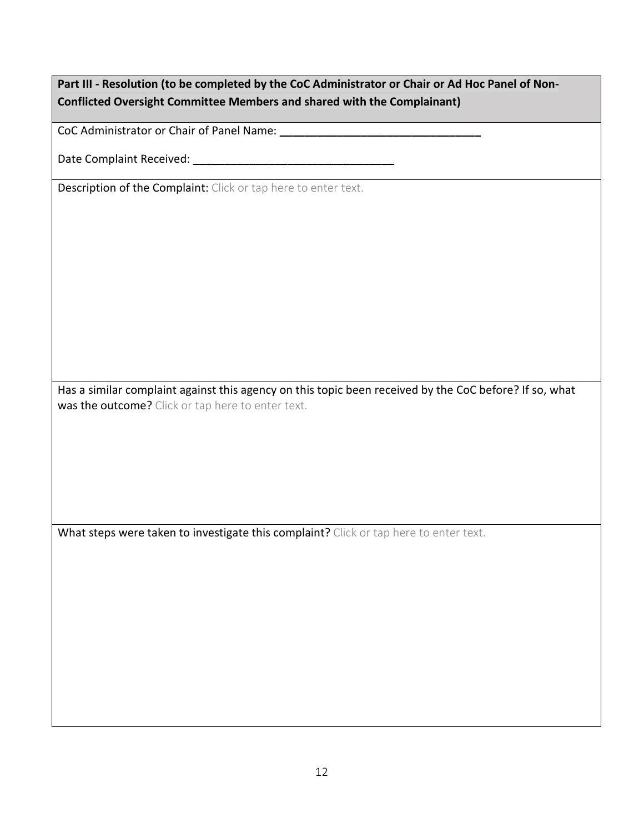#### **Part III - Resolution (to be completed by the CoC Administrator or Chair or Ad Hoc Panel of Non-Conflicted Oversight Committee Members and shared with the Complainant)**

CoC Administrator or Chair of Panel Name: **\_\_\_\_\_\_\_\_\_\_\_\_\_\_\_\_\_\_\_\_\_\_\_\_\_\_\_\_\_\_\_\_**

Date Complaint Received: **\_\_\_\_\_\_\_\_\_\_\_\_\_\_\_\_\_\_\_\_\_\_\_\_\_\_\_\_\_\_\_\_**

Description of the Complaint: Click or tap here to enter text.

Has a similar complaint against this agency on this topic been received by the CoC before? If so, what was the outcome? Click or tap here to enter text.

What steps were taken to investigate this complaint? Click or tap here to enter text.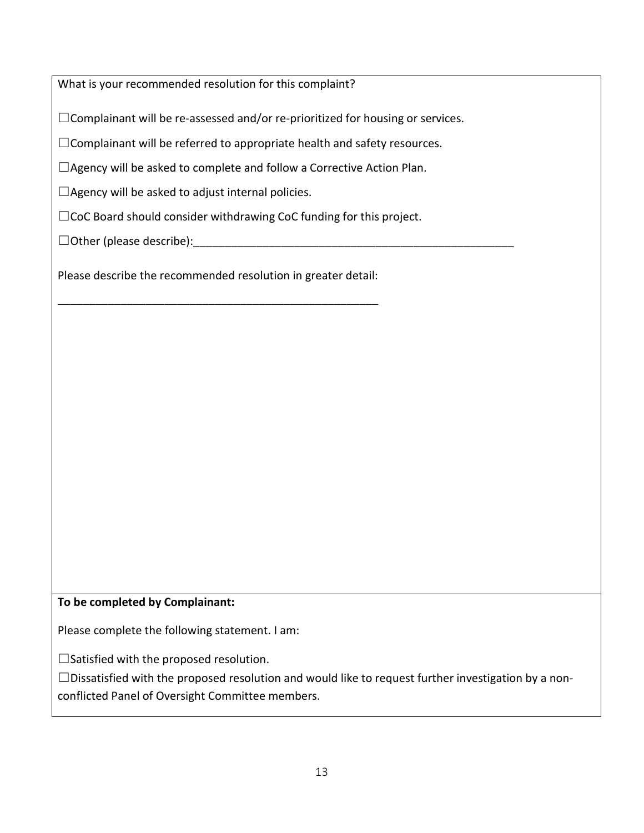What is your recommended resolution for this complaint?

 $\Box$ Complainant will be re-assessed and/or re-prioritized for housing or services.

☐Complainant will be referred to appropriate health and safety resources.

☐Agency will be asked to complete and follow a Corrective Action Plan.

 $\Box$ Agency will be asked to adjust internal policies.

□CoC Board should consider withdrawing CoC funding for this project.

 $\Box$  Other (please describe):

Please describe the recommended resolution in greater detail:

\_\_\_\_\_\_\_\_\_\_\_\_\_\_\_\_\_\_\_\_\_\_\_\_\_\_\_\_\_\_\_\_\_\_\_\_\_\_\_\_\_\_\_\_\_\_\_\_\_\_\_

**To be completed by Complainant:** 

Please complete the following statement. I am:

☐Satisfied with the proposed resolution.

 $\square$ Dissatisfied with the proposed resolution and would like to request further investigation by a nonconflicted Panel of Oversight Committee members.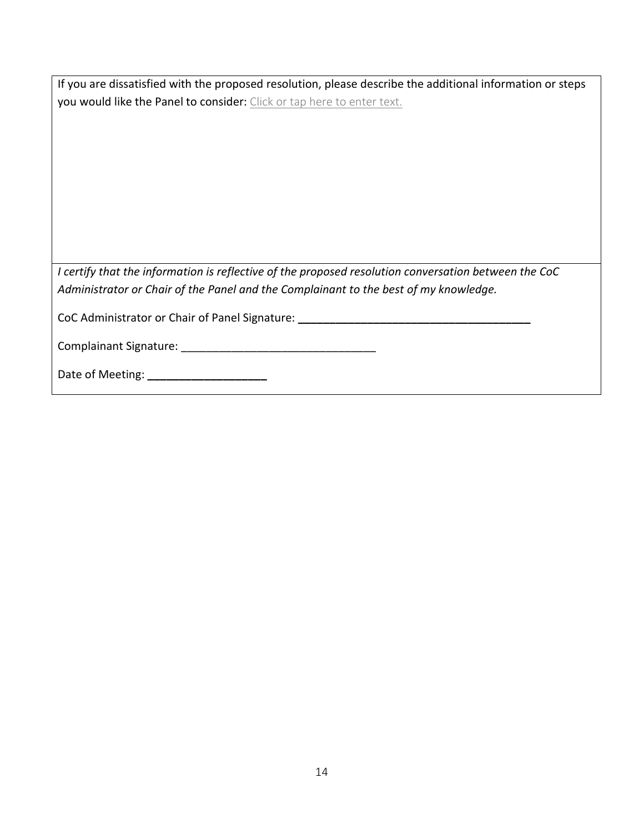| If you are dissatisfied with the proposed resolution, please describe the additional information or steps |
|-----------------------------------------------------------------------------------------------------------|
| you would like the Panel to consider: Click or tap here to enter text.                                    |

*I certify that the information is reflective of the proposed resolution conversation between the CoC Administrator or Chair of the Panel and the Complainant to the best of my knowledge.* 

CoC Administrator or Chair of Panel Signature: \_\_\_\_\_\_\_\_\_\_\_\_\_\_\_\_\_\_\_\_\_\_\_\_\_\_\_\_\_\_\_\_\_\_

Complainant Signature: \_\_\_\_\_\_\_\_\_\_\_\_\_\_\_\_\_\_\_\_\_\_\_\_\_\_\_\_\_\_\_

Date of Meeting: **\_\_\_\_\_\_\_\_\_\_\_\_\_\_\_\_\_\_\_**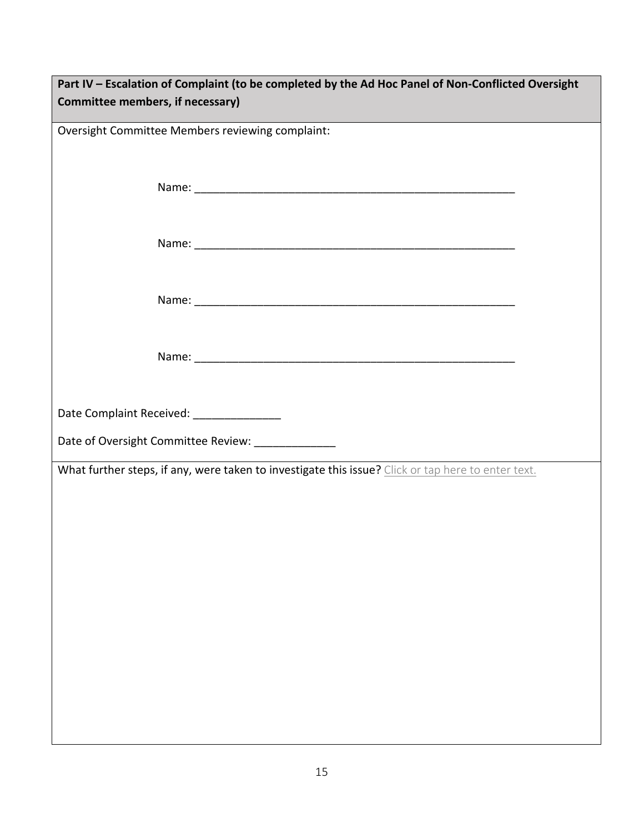| Part IV - Escalation of Complaint (to be completed by the Ad Hoc Panel of Non-Conflicted Oversight |  |  |  |  |
|----------------------------------------------------------------------------------------------------|--|--|--|--|
| Committee members, if necessary)                                                                   |  |  |  |  |
|                                                                                                    |  |  |  |  |
| Oversight Committee Members reviewing complaint:                                                   |  |  |  |  |
|                                                                                                    |  |  |  |  |
|                                                                                                    |  |  |  |  |
|                                                                                                    |  |  |  |  |
|                                                                                                    |  |  |  |  |
|                                                                                                    |  |  |  |  |
|                                                                                                    |  |  |  |  |
|                                                                                                    |  |  |  |  |
|                                                                                                    |  |  |  |  |
|                                                                                                    |  |  |  |  |
|                                                                                                    |  |  |  |  |
|                                                                                                    |  |  |  |  |
|                                                                                                    |  |  |  |  |
|                                                                                                    |  |  |  |  |
|                                                                                                    |  |  |  |  |
| Date Complaint Received: ________________                                                          |  |  |  |  |
|                                                                                                    |  |  |  |  |
| Date of Oversight Committee Review: ______________                                                 |  |  |  |  |
| What further steps, if any, were taken to investigate this issue? Click or tap here to enter text. |  |  |  |  |
|                                                                                                    |  |  |  |  |
|                                                                                                    |  |  |  |  |
|                                                                                                    |  |  |  |  |
|                                                                                                    |  |  |  |  |
|                                                                                                    |  |  |  |  |
|                                                                                                    |  |  |  |  |
|                                                                                                    |  |  |  |  |
|                                                                                                    |  |  |  |  |
|                                                                                                    |  |  |  |  |
|                                                                                                    |  |  |  |  |
|                                                                                                    |  |  |  |  |
|                                                                                                    |  |  |  |  |
|                                                                                                    |  |  |  |  |
|                                                                                                    |  |  |  |  |
|                                                                                                    |  |  |  |  |